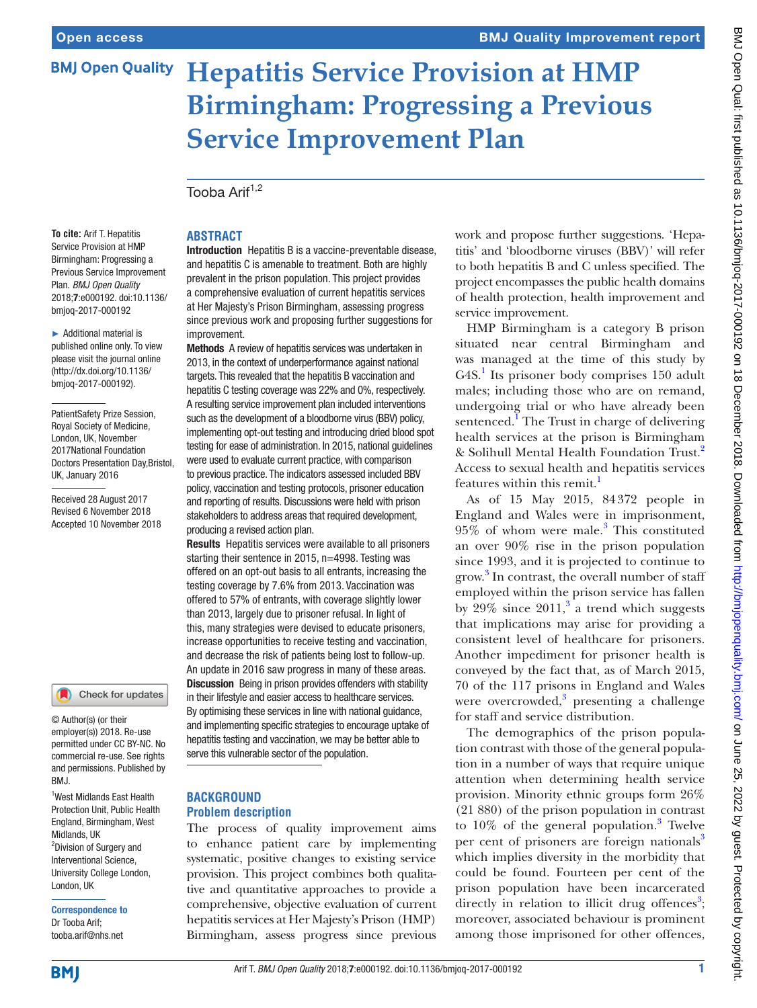# **BMJ Open Quality Hepatitis Service Provision at HMP Birmingham: Progressing a Previous Service Improvement Plan**

Tooba Ari $f^{1,2}$ 

**To cite:** Arif T. Hepatitis Service Provision at HMP Birmingham: Progressing a Previous Service Improvement Plan. *BMJ Open Quality* 2018;7:e000192. doi:10.1136/ bmjoq-2017-000192

► Additional material is published online only. To view please visit the journal online (http://dx.doi.org/10.1136/ bmjoq-2017-000192).

PatientSafety Prize Session, Royal Society of Medicine, London, UK, November 2017National Foundation Doctors Presentation Day,Bristol, UK, January 2016

Received 28 August 2017 Revised 6 November 2018 Accepted 10 November 2018



© Author(s) (or their employer(s)) 2018. Re-use permitted under CC BY-NC. No commercial re-use. See rights and permissions. Published by BMJ.

1 West Midlands East Health Protection Unit, Public Health England, Birmingham, West Midlands, UK <sup>2</sup>Division of Surgery and Interventional Science, University College London, London, UK

Correspondence to Dr Tooba Arif; tooba.arif@nhs.net

### **Abstract**

Introduction Hepatitis B is a vaccine-preventable disease, and hepatitis C is amenable to treatment. Both are highly prevalent in the prison population. This project provides a comprehensive evaluation of current hepatitis services at Her Majesty's Prison Birmingham, assessing progress since previous work and proposing further suggestions for improvement.

Methods A review of hepatitis services was undertaken in 2013, in the context of underperformance against national targets. This revealed that the hepatitis B vaccination and hepatitis C testing coverage was 22% and 0%, respectively. A resulting service improvement plan included interventions such as the development of a bloodborne virus (BBV) policy, implementing opt-out testing and introducing dried blood spot testing for ease of administration. In 2015, national guidelines were used to evaluate current practice, with comparison to previous practice. The indicators assessed included BBV policy, vaccination and testing protocols, prisoner education and reporting of results. Discussions were held with prison stakeholders to address areas that required development, producing a revised action plan.

Results Hepatitis services were available to all prisoners starting their sentence in 2015, n=4998. Testing was offered on an opt-out basis to all entrants, increasing the testing coverage by 7.6% from 2013. Vaccination was offered to 57% of entrants, with coverage slightly lower than 2013, largely due to prisoner refusal. In light of this, many strategies were devised to educate prisoners, increase opportunities to receive testing and vaccination, and decrease the risk of patients being lost to follow-up. An update in 2016 saw progress in many of these areas. Discussion Being in prison provides offenders with stability in their lifestyle and easier access to healthcare services. By optimising these services in line with national guidance, and implementing specific strategies to encourage uptake of hepatitis testing and vaccination, we may be better able to serve this vulnerable sector of the population.

### **BACKGROUND Problem description**

The process of quality improvement aims to enhance patient care by implementing systematic, positive changes to existing service provision. This project combines both qualitative and quantitative approaches to provide a comprehensive, objective evaluation of current hepatitis services at Her Majesty's Prison (HMP) Birmingham, assess progress since previous

work and propose further suggestions. 'Hepatitis' and 'bloodborne viruses (BBV)' will refer to both hepatitis B and C unless specified. The project encompasses the public health domains of health protection, health improvement and service improvement.

HMP Birmingham is a category B prison situated near central Birmingham and was managed at the time of this study by G4S.[1](#page-8-0) Its prisoner body comprises 150 adult males; including those who are on remand, undergoing trial or who have already been sentenced.<sup>[1](#page-8-0)</sup> The Trust in charge of delivering health services at the prison is Birmingham & Solihull Mental Health Foundation Trust.<sup>2</sup> Access to sexual health and hepatitis services features within this remit.<sup>[1](#page-8-0)</sup>

As of 15 May 2015, 84372 people in England and Wales were in imprisonment,  $95\%$  of whom were male.<sup>[3](#page-8-2)</sup> This constituted an over 90% rise in the prison population since 1993, and it is projected to continue to grow. [3](#page-8-2) In contrast, the overall number of staff employed within the prison service has fallen by  $29\%$  since  $2011$ ,<sup>[3](#page-8-2)</sup> a trend which suggests that implications may arise for providing a consistent level of healthcare for prisoners. Another impediment for prisoner health is conveyed by the fact that, as of March 2015, 70 of the 117 prisons in England and Wales were overcrowded,<sup>[3](#page-8-2)</sup> presenting a challenge for staff and service distribution.

The demographics of the prison population contrast with those of the general population in a number of ways that require unique attention when determining health service provision. Minority ethnic groups form 26% (21 880) of the prison population in contrast to  $10\%$  of the general population.<sup>3</sup> Twelve per cent of prisoners are foreign nationals<sup>[3](#page-8-2)</sup> which implies diversity in the morbidity that could be found. Fourteen per cent of the prison population have been incarcerated directly in relation to illicit drug offences<sup>[3](#page-8-2)</sup>; moreover, associated behaviour is prominent among those imprisoned for other offences,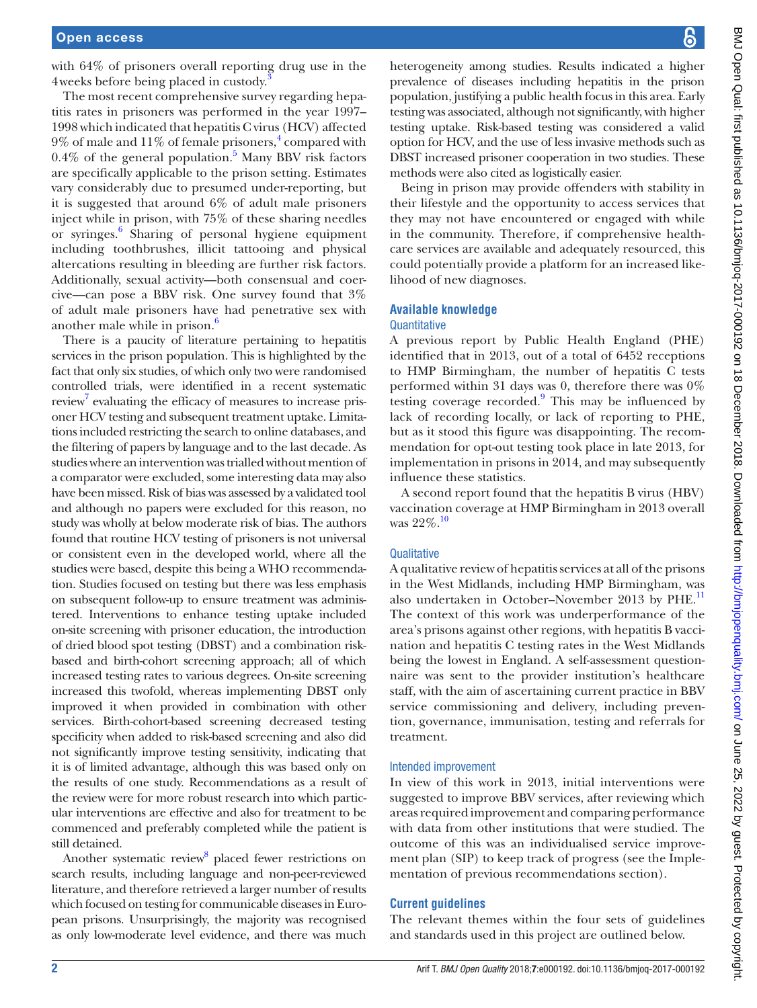with 64% of prisoners overall reporting drug use in the 4 weeks before being placed in custody.<sup>[3](#page-8-2)</sup>

The most recent comprehensive survey regarding hepatitis rates in prisoners was performed in the year 1997– 1998 which indicated that hepatitis C virus (HCV) affected  $9\%$  of male and  $11\%$  of female prisoners, $^4$  $^4$  compared with  $0.4\%$  of the general population.<sup>[5](#page-8-4)</sup> Many BBV risk factors are specifically applicable to the prison setting. Estimates vary considerably due to presumed under-reporting, but it is suggested that around 6% of adult male prisoners inject while in prison, with 75% of these sharing needles or syringes.<sup>6</sup> Sharing of personal hygiene equipment including toothbrushes, illicit tattooing and physical altercations resulting in bleeding are further risk factors. Additionally, sexual activity—both consensual and coercive—can pose a BBV risk. One survey found that 3% of adult male prisoners have had penetrative sex with another male while in prison.<sup>[6](#page-8-5)</sup>

There is a paucity of literature pertaining to hepatitis services in the prison population. This is highlighted by the fact that only six studies, of which only two were randomised controlled trials, were identified in a recent systematic review<sup>[7](#page-8-6)</sup> evaluating the efficacy of measures to increase prisoner HCV testing and subsequent treatment uptake. Limitations included restricting the search to online databases, and the filtering of papers by language and to the last decade. As studies where an intervention was trialled without mention of a comparator were excluded, some interesting data may also have been missed. Risk of bias was assessed by a validated tool and although no papers were excluded for this reason, no study was wholly at below moderate risk of bias. The authors found that routine HCV testing of prisoners is not universal or consistent even in the developed world, where all the studies were based, despite this being a WHO recommendation. Studies focused on testing but there was less emphasis on subsequent follow-up to ensure treatment was administered. Interventions to enhance testing uptake included on-site screening with prisoner education, the introduction of dried blood spot testing (DBST) and a combination riskbased and birth-cohort screening approach; all of which increased testing rates to various degrees. On-site screening increased this twofold, whereas implementing DBST only improved it when provided in combination with other services. Birth-cohort-based screening decreased testing specificity when added to risk-based screening and also did not significantly improve testing sensitivity, indicating that it is of limited advantage, although this was based only on the results of one study. Recommendations as a result of the review were for more robust research into which particular interventions are effective and also for treatment to be commenced and preferably completed while the patient is still detained.

Another systematic review<sup>[8](#page-8-7)</sup> placed fewer restrictions on search results, including language and non-peer-reviewed literature, and therefore retrieved a larger number of results which focused on testing for communicable diseases in European prisons. Unsurprisingly, the majority was recognised as only low-moderate level evidence, and there was much

heterogeneity among studies. Results indicated a higher prevalence of diseases including hepatitis in the prison population, justifying a public health focus in this area. Early testing was associated, although not significantly, with higher testing uptake. Risk-based testing was considered a valid option for HCV, and the use of less invasive methods such as DBST increased prisoner cooperation in two studies. These methods were also cited as logistically easier.

Being in prison may provide offenders with stability in their lifestyle and the opportunity to access services that they may not have encountered or engaged with while in the community. Therefore, if comprehensive healthcare services are available and adequately resourced, this could potentially provide a platform for an increased likelihood of new diagnoses.

#### **Available knowledge**

#### **Quantitative**

A previous report by Public Health England (PHE) identified that in 2013, out of a total of 6452 receptions to HMP Birmingham, the number of hepatitis C tests performed within 31 days was 0, therefore there was 0% testing coverage recorded. $9$  This may be influenced by lack of recording locally, or lack of reporting to PHE, but as it stood this figure was disappointing. The recommendation for opt-out testing took place in late 2013, for implementation in prisons in 2014, and may subsequently influence these statistics.

A second report found that the hepatitis B virus (HBV) vaccination coverage at HMP Birmingham in 2013 overall was 22\%.<sup>10</sup>

#### **Qualitative**

A qualitative review of hepatitis services at all of the prisons in the West Midlands, including HMP Birmingham, was also undertaken in October–November 2013 by PHE.<sup>[11](#page-8-10)</sup> The context of this work was underperformance of the area's prisons against other regions, with hepatitis B vaccination and hepatitis C testing rates in the West Midlands being the lowest in England. A self-assessment questionnaire was sent to the provider institution's healthcare staff, with the aim of ascertaining current practice in BBV service commissioning and delivery, including prevention, governance, immunisation, testing and referrals for treatment.

#### Intended improvement

In view of this work in 2013, initial interventions were suggested to improve BBV services, after reviewing which areas required improvement and comparing performance with data from other institutions that were studied. The outcome of this was an individualised service improvement plan (SIP) to keep track of progress (see the Implementation of previous recommendations section).

#### **Current guidelines**

The relevant themes within the four sets of guidelines and standards used in this project are outlined below.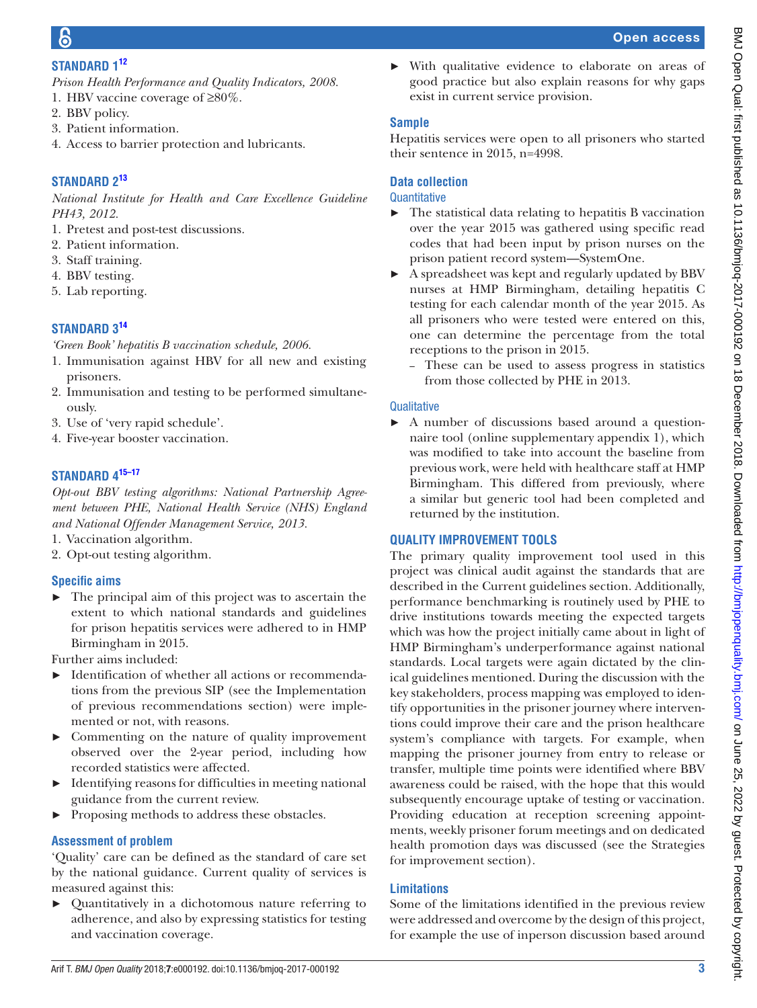### **Standard 1[12](#page-8-11)**

- *Prison Health Performance and Quality Indicators, 2008.*
- 1. HBV vaccine coverage of ≥80%.
- 2. BBV policy.
- 3. Patient information.
- 4. Access to barrier protection and lubricants.

## **Standard 2[13](#page-8-12)**

*National Institute for Health and Care Excellence Guideline PH43, 2012.*

- 1. Pretest and post-test discussions.
- 2. Patient information.
- 3. Staff training.
- 4. BBV testing.
- 5. Lab reporting.

## **Standard 3[14](#page-8-13)**

*'Green Book' hepatitis B vaccination schedule, 2006.*

- 1. Immunisation against HBV for all new and existing prisoners.
- 2. Immunisation and testing to be performed simultaneously.
- 3. Use of 'very rapid schedule'.
- 4. Five-year booster vaccination.

## **Standard 4[15–17](#page-8-14)**

*Opt-out BBV testing algorithms: National Partnership Agreement between PHE, National Health Service (NHS) England and National Offender Management Service, 2013.*

1. Vaccination algorithm.

2. Opt-out testing algorithm.

## **Specific aims**

► The principal aim of this project was to ascertain the extent to which national standards and guidelines for prison hepatitis services were adhered to in HMP Birmingham in 2015.

Further aims included:

- ► Identification of whether all actions or recommendations from the previous SIP (see the Implementation of previous recommendations section) were implemented or not, with reasons.
- ► Commenting on the nature of quality improvement observed over the 2-year period, including how recorded statistics were affected.
- ► Identifying reasons for difficulties in meeting national guidance from the current review.
- ► Proposing methods to address these obstacles.

### **Assessment of problem**

'Quality' care can be defined as the standard of care set by the national guidance. Current quality of services is measured against this:

► Quantitatively in a dichotomous nature referring to adherence, and also by expressing statistics for testing and vaccination coverage.

With qualitative evidence to elaborate on areas of good practice but also explain reasons for why gaps exist in current service provision.

### **Sample**

Hepatitis services were open to all prisoners who started their sentence in 2015, n=4998.

### **Data collection**

### **Quantitative**

- $\blacktriangleright$  The statistical data relating to hepatitis B vaccination over the year 2015 was gathered using specific read codes that had been input by prison nurses on the prison patient record system—SystemOne.
- ► A spreadsheet was kept and regularly updated by BBV nurses at HMP Birmingham, detailing hepatitis C testing for each calendar month of the year 2015. As all prisoners who were tested were entered on this, one can determine the percentage from the total receptions to the prison in 2015.
	- These can be used to assess progress in statistics from those collected by PHE in 2013.

### **Qualitative**

► A number of discussions based around a questionnaire tool (online [supplementary appendix 1](https://dx.doi.org/10.1136/bmjoq-2017-000192)), which was modified to take into account the baseline from previous work, were held with healthcare staff at HMP Birmingham. This differed from previously, where a similar but generic tool had been completed and returned by the institution.

## **Quality improvement tools**

The primary quality improvement tool used in this project was clinical audit against the standards that are described in the Current guidelines section. Additionally, performance benchmarking is routinely used by PHE to drive institutions towards meeting the expected targets which was how the project initially came about in light of HMP Birmingham's underperformance against national standards. Local targets were again dictated by the clinical guidelines mentioned. During the discussion with the key stakeholders, process mapping was employed to identify opportunities in the prisoner journey where interventions could improve their care and the prison healthcare system's compliance with targets. For example, when mapping the prisoner journey from entry to release or transfer, multiple time points were identified where BBV awareness could be raised, with the hope that this would subsequently encourage uptake of testing or vaccination. Providing education at reception screening appointments, weekly prisoner forum meetings and on dedicated health promotion days was discussed (see the Strategies for improvement section).

### **Limitations**

Some of the limitations identified in the previous review were addressed and overcome by the design of this project, for example the use of inperson discussion based around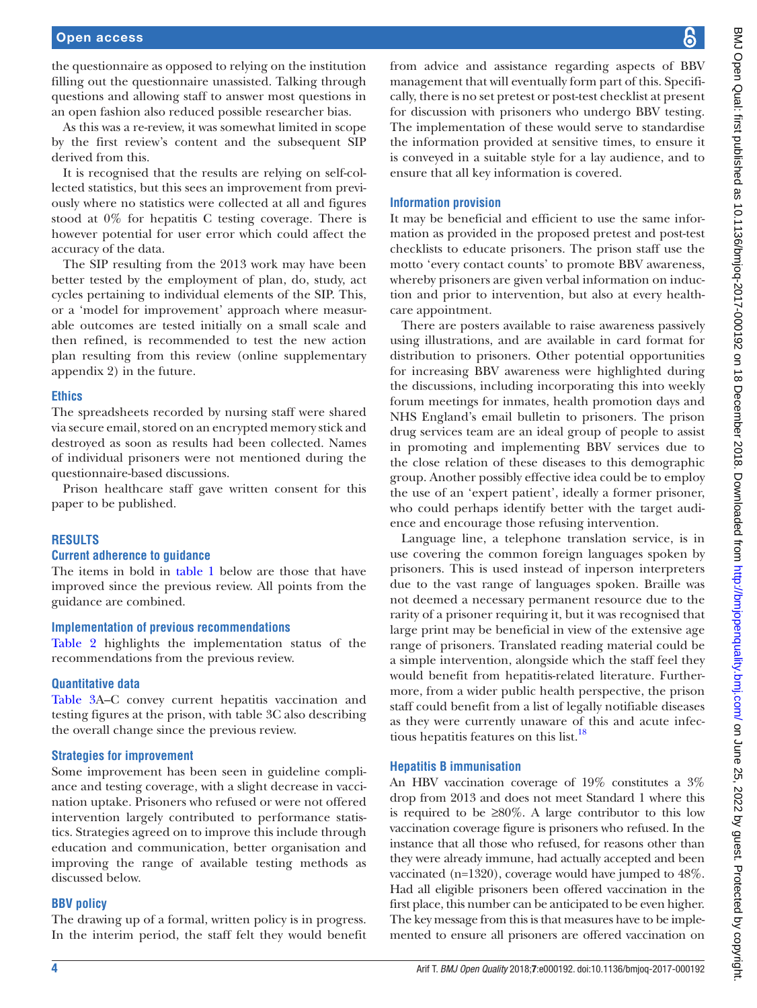the questionnaire as opposed to relying on the institution filling out the questionnaire unassisted. Talking through questions and allowing staff to answer most questions in an open fashion also reduced possible researcher bias.

As this was a re-review, it was somewhat limited in scope by the first review's content and the subsequent SIP derived from this.

It is recognised that the results are relying on self-collected statistics, but this sees an improvement from previously where no statistics were collected at all and figures stood at 0% for hepatitis C testing coverage. There is however potential for user error which could affect the accuracy of the data.

The SIP resulting from the 2013 work may have been better tested by the employment of plan, do, study, act cycles pertaining to individual elements of the SIP. This, or a 'model for improvement' approach where measurable outcomes are tested initially on a small scale and then refined, is recommended to test the new action plan resulting from this review (online [supplementary](https://dx.doi.org/10.1136/bmjoq-2017-000192) [appendix 2](https://dx.doi.org/10.1136/bmjoq-2017-000192)) in the future.

### **Ethics**

The spreadsheets recorded by nursing staff were shared via secure email, stored on an encrypted memory stick and destroyed as soon as results had been collected. Names of individual prisoners were not mentioned during the questionnaire-based discussions.

Prison healthcare staff gave written consent for this paper to be published.

### **Results**

### **Current adherence to guidance**

The items in bold in [table](#page-4-0) 1 below are those that have improved since the previous review. All points from the guidance are combined.

### **Implementation of previous recommendations**

[Table](#page-5-0) 2 highlights the implementation status of the recommendations from the previous review.

### **Quantitative data**

[Table](#page-6-0) 3A–C convey current hepatitis vaccination and testing figures at the prison, with table 3C also describing the overall change since the previous review.

### **Strategies for improvement**

Some improvement has been seen in guideline compliance and testing coverage, with a slight decrease in vaccination uptake. Prisoners who refused or were not offered intervention largely contributed to performance statistics. Strategies agreed on to improve this include through education and communication, better organisation and improving the range of available testing methods as discussed below.

### **BBV policy**

The drawing up of a formal, written policy is in progress. In the interim period, the staff felt they would benefit

from advice and assistance regarding aspects of BBV management that will eventually form part of this. Specifically, there is no set pretest or post-test checklist at present for discussion with prisoners who undergo BBV testing. The implementation of these would serve to standardise the information provided at sensitive times, to ensure it is conveyed in a suitable style for a lay audience, and to ensure that all key information is covered.

#### **Information provision**

It may be beneficial and efficient to use the same information as provided in the proposed pretest and post-test checklists to educate prisoners. The prison staff use the motto 'every contact counts' to promote BBV awareness, whereby prisoners are given verbal information on induction and prior to intervention, but also at every healthcare appointment.

There are posters available to raise awareness passively using illustrations, and are available in card format for distribution to prisoners. Other potential opportunities for increasing BBV awareness were highlighted during the discussions, including incorporating this into weekly forum meetings for inmates, health promotion days and NHS England's email bulletin to prisoners. The prison drug services team are an ideal group of people to assist in promoting and implementing BBV services due to the close relation of these diseases to this demographic group. Another possibly effective idea could be to employ the use of an 'expert patient', ideally a former prisoner, who could perhaps identify better with the target audience and encourage those refusing intervention.

Language line, a telephone translation service, is in use covering the common foreign languages spoken by prisoners. This is used instead of inperson interpreters due to the vast range of languages spoken. Braille was not deemed a necessary permanent resource due to the rarity of a prisoner requiring it, but it was recognised that large print may be beneficial in view of the extensive age range of prisoners. Translated reading material could be a simple intervention, alongside which the staff feel they would benefit from hepatitis-related literature. Furthermore, from a wider public health perspective, the prison staff could benefit from a list of legally notifiable diseases as they were currently unaware of this and acute infec-tious hepatitis features on this list.<sup>[18](#page-8-15)</sup>

### **Hepatitis B immunisation**

An HBV vaccination coverage of 19% constitutes a 3% drop from 2013 and does not meet Standard 1 where this is required to be ≥80%. A large contributor to this low vaccination coverage figure is prisoners who refused. In the instance that all those who refused, for reasons other than they were already immune, had actually accepted and been vaccinated (n=1320), coverage would have jumped to 48%. Had all eligible prisoners been offered vaccination in the first place, this number can be anticipated to be even higher. The key message from this is that measures have to be implemented to ensure all prisoners are offered vaccination on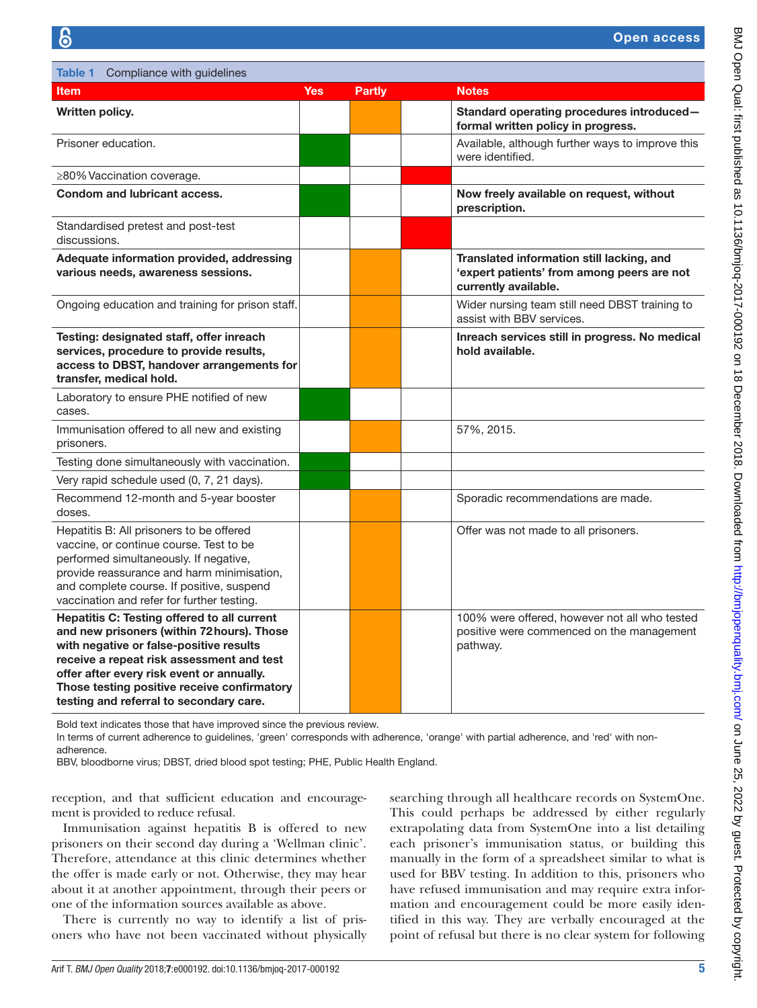<span id="page-4-0"></span>

| Table 1 Compliance with guidelines                                                                                                                                                                                                                                                                                       |            |               |                                                                                                                 |
|--------------------------------------------------------------------------------------------------------------------------------------------------------------------------------------------------------------------------------------------------------------------------------------------------------------------------|------------|---------------|-----------------------------------------------------------------------------------------------------------------|
| <b>Item</b>                                                                                                                                                                                                                                                                                                              | <b>Yes</b> | <b>Partly</b> | <b>Notes</b>                                                                                                    |
| Written policy.                                                                                                                                                                                                                                                                                                          |            |               | Standard operating procedures introduced-<br>formal written policy in progress.                                 |
| Prisoner education.                                                                                                                                                                                                                                                                                                      |            |               | Available, although further ways to improve this<br>were identified.                                            |
| ≥80% Vaccination coverage.                                                                                                                                                                                                                                                                                               |            |               |                                                                                                                 |
| Condom and lubricant access.                                                                                                                                                                                                                                                                                             |            |               | Now freely available on request, without<br>prescription.                                                       |
| Standardised pretest and post-test<br>discussions.                                                                                                                                                                                                                                                                       |            |               |                                                                                                                 |
| Adequate information provided, addressing<br>various needs, awareness sessions.                                                                                                                                                                                                                                          |            |               | Translated information still lacking, and<br>'expert patients' from among peers are not<br>currently available. |
| Ongoing education and training for prison staff.                                                                                                                                                                                                                                                                         |            |               | Wider nursing team still need DBST training to<br>assist with BBV services.                                     |
| Testing: designated staff, offer inreach<br>services, procedure to provide results,<br>access to DBST, handover arrangements for<br>transfer, medical hold.                                                                                                                                                              |            |               | Inreach services still in progress. No medical<br>hold available.                                               |
| Laboratory to ensure PHE notified of new<br>cases.                                                                                                                                                                                                                                                                       |            |               |                                                                                                                 |
| Immunisation offered to all new and existing<br>prisoners.                                                                                                                                                                                                                                                               |            |               | 57%, 2015.                                                                                                      |
| Testing done simultaneously with vaccination.                                                                                                                                                                                                                                                                            |            |               |                                                                                                                 |
| Very rapid schedule used (0, 7, 21 days).                                                                                                                                                                                                                                                                                |            |               |                                                                                                                 |
| Recommend 12-month and 5-year booster<br>doses.                                                                                                                                                                                                                                                                          |            |               | Sporadic recommendations are made.                                                                              |
| Hepatitis B: All prisoners to be offered<br>vaccine, or continue course. Test to be<br>performed simultaneously. If negative,<br>provide reassurance and harm minimisation,<br>and complete course. If positive, suspend<br>vaccination and refer for further testing.                                                   |            |               | Offer was not made to all prisoners.                                                                            |
| Hepatitis C: Testing offered to all current<br>and new prisoners (within 72 hours). Those<br>with negative or false-positive results<br>receive a repeat risk assessment and test<br>offer after every risk event or annually.<br>Those testing positive receive confirmatory<br>testing and referral to secondary care. |            |               | 100% were offered, however not all who tested<br>positive were commenced on the management<br>pathway.          |

Bold text indicates those that have improved since the previous review.

In terms of current adherence to guidelines, 'green' corresponds with adherence, 'orange' with partial adherence, and 'red' with nonadherence.

BBV, bloodborne virus; DBST, dried blood spot testing; PHE, Public Health England.

reception, and that sufficient education and encouragement is provided to reduce refusal.

Immunisation against hepatitis B is offered to new prisoners on their second day during a 'Wellman clinic'. Therefore, attendance at this clinic determines whether the offer is made early or not. Otherwise, they may hear about it at another appointment, through their peers or one of the information sources available as above.

There is currently no way to identify a list of prisoners who have not been vaccinated without physically

searching through all healthcare records on SystemOne. This could perhaps be addressed by either regularly extrapolating data from SystemOne into a list detailing each prisoner's immunisation status, or building this manually in the form of a spreadsheet similar to what is used for BBV testing. In addition to this, prisoners who have refused immunisation and may require extra information and encouragement could be more easily identified in this way. They are verbally encouraged at the point of refusal but there is no clear system for following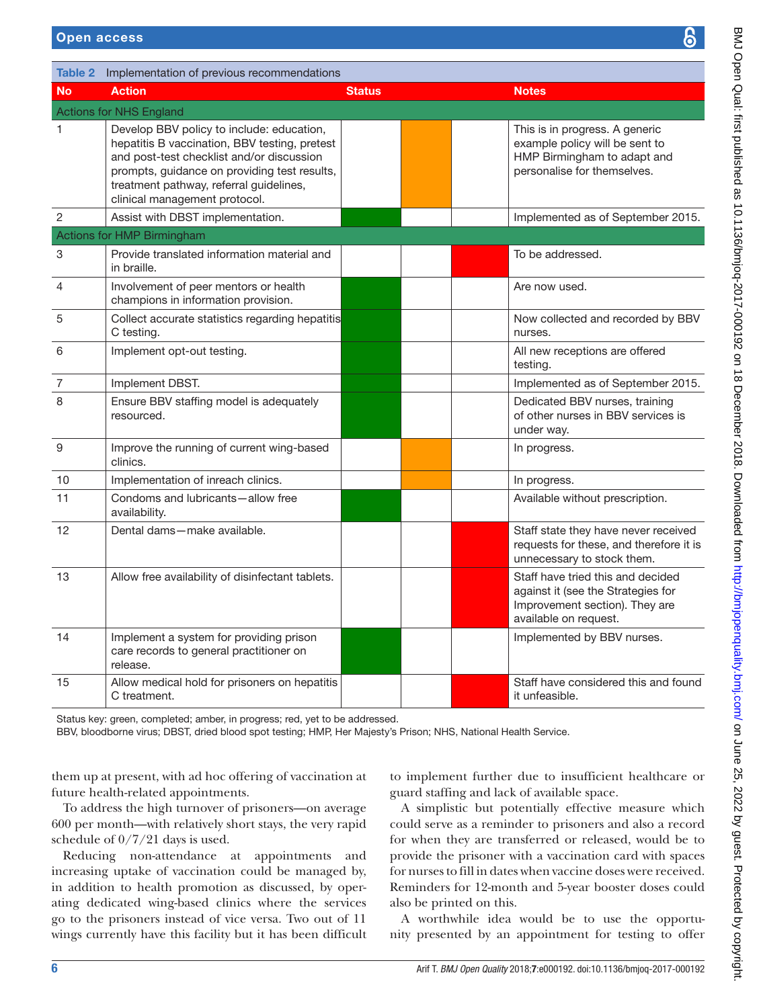<span id="page-5-0"></span>

| Table 2 Implementation of previous recommendations |                                                                                                                                                                                                                                                                     |               |  |                                                                                                                                    |
|----------------------------------------------------|---------------------------------------------------------------------------------------------------------------------------------------------------------------------------------------------------------------------------------------------------------------------|---------------|--|------------------------------------------------------------------------------------------------------------------------------------|
| <b>No</b>                                          | <b>Action</b>                                                                                                                                                                                                                                                       | <b>Status</b> |  | <b>Notes</b>                                                                                                                       |
|                                                    | <b>Actions for NHS England</b>                                                                                                                                                                                                                                      |               |  |                                                                                                                                    |
| 1                                                  | Develop BBV policy to include: education,<br>hepatitis B vaccination, BBV testing, pretest<br>and post-test checklist and/or discussion<br>prompts, guidance on providing test results,<br>treatment pathway, referral guidelines,<br>clinical management protocol. |               |  | This is in progress. A generic<br>example policy will be sent to<br>HMP Birmingham to adapt and<br>personalise for themselves.     |
| 2                                                  | Assist with DBST implementation.                                                                                                                                                                                                                                    |               |  | Implemented as of September 2015.                                                                                                  |
|                                                    | Actions for HMP Birmingham                                                                                                                                                                                                                                          |               |  |                                                                                                                                    |
| 3                                                  | Provide translated information material and<br>in braille.                                                                                                                                                                                                          |               |  | To be addressed.                                                                                                                   |
| $\overline{4}$                                     | Involvement of peer mentors or health<br>champions in information provision.                                                                                                                                                                                        |               |  | Are now used.                                                                                                                      |
| 5                                                  | Collect accurate statistics regarding hepatitis<br>C testing.                                                                                                                                                                                                       |               |  | Now collected and recorded by BBV<br>nurses.                                                                                       |
| 6                                                  | Implement opt-out testing.                                                                                                                                                                                                                                          |               |  | All new receptions are offered<br>testing.                                                                                         |
| $\overline{7}$                                     | Implement DBST.                                                                                                                                                                                                                                                     |               |  | Implemented as of September 2015.                                                                                                  |
| 8                                                  | Ensure BBV staffing model is adequately<br>resourced.                                                                                                                                                                                                               |               |  | Dedicated BBV nurses, training<br>of other nurses in BBV services is<br>under way.                                                 |
| 9                                                  | Improve the running of current wing-based<br>clinics.                                                                                                                                                                                                               |               |  | In progress.                                                                                                                       |
| 10                                                 | Implementation of inreach clinics.                                                                                                                                                                                                                                  |               |  | In progress.                                                                                                                       |
| 11                                                 | Condoms and lubricants-allow free<br>availability.                                                                                                                                                                                                                  |               |  | Available without prescription.                                                                                                    |
| 12                                                 | Dental dams-make available.                                                                                                                                                                                                                                         |               |  | Staff state they have never received<br>requests for these, and therefore it is<br>unnecessary to stock them.                      |
| 13                                                 | Allow free availability of disinfectant tablets.                                                                                                                                                                                                                    |               |  | Staff have tried this and decided<br>against it (see the Strategies for<br>Improvement section). They are<br>available on request. |
| 14                                                 | Implement a system for providing prison<br>care records to general practitioner on<br>release.                                                                                                                                                                      |               |  | Implemented by BBV nurses.                                                                                                         |
| 15                                                 | Allow medical hold for prisoners on hepatitis<br>C treatment.                                                                                                                                                                                                       |               |  | Staff have considered this and found<br>it unfeasible.                                                                             |

Status key: green, completed; amber, in progress; red, yet to be addressed.

BBV, bloodborne virus; DBST, dried blood spot testing; HMP, Her Majesty's Prison; NHS, National Health Service.

them up at present, with ad hoc offering of vaccination at future health-related appointments.

To address the high turnover of prisoners—on average 600 per month—with relatively short stays, the very rapid schedule of 0/7/21 days is used.

Reducing non-attendance at appointments and increasing uptake of vaccination could be managed by, in addition to health promotion as discussed, by operating dedicated wing-based clinics where the services go to the prisoners instead of vice versa. Two out of 11 wings currently have this facility but it has been difficult

to implement further due to insufficient healthcare or guard staffing and lack of available space.

A simplistic but potentially effective measure which could serve as a reminder to prisoners and also a record for when they are transferred or released, would be to provide the prisoner with a vaccination card with spaces for nurses to fill in dates when vaccine doses were received. Reminders for 12-month and 5-year booster doses could also be printed on this.

A worthwhile idea would be to use the opportunity presented by an appointment for testing to offer

8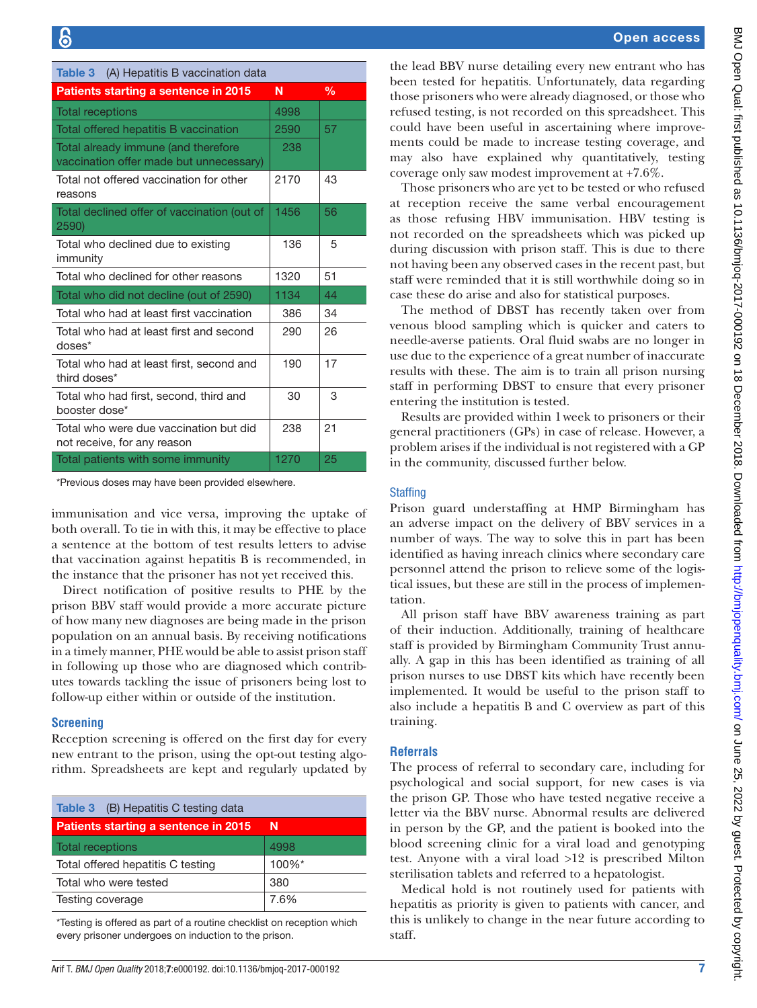<span id="page-6-0"></span>

| <b>Table 3</b> (A) Hepatitis B vaccination data                                |      |               |
|--------------------------------------------------------------------------------|------|---------------|
| Patients starting a sentence in 2015                                           | N    | $\frac{0}{0}$ |
| <b>Total receptions</b>                                                        | 4998 |               |
| Total offered hepatitis B vaccination                                          | 2590 | 57            |
| Total already immune (and therefore<br>vaccination offer made but unnecessary) | 238  |               |
| Total not offered vaccination for other<br>reasons                             | 2170 | 43            |
| Total declined offer of vaccination (out of<br>2590)                           | 1456 | 56            |
| Total who declined due to existing<br>immunity                                 | 136  | 5             |
| Total who declined for other reasons                                           | 1320 | 51            |
| Total who did not decline (out of 2590)                                        | 1134 | 44            |
| Total who had at least first vaccination                                       | 386  | 34            |
| Total who had at least first and second<br>doses*                              | 290  | 26            |
| Total who had at least first, second and<br>third doses*                       | 190  | 17            |
| Total who had first, second, third and<br>booster dose*                        | 30   | 3             |
| Total who were due vaccination but did<br>not receive, for any reason          | 238  | 21            |
| Total patients with some immunity                                              | 1270 | 25            |

\*Previous doses may have been provided elsewhere.

immunisation and vice versa, improving the uptake of both overall. To tie in with this, it may be effective to place a sentence at the bottom of test results letters to advise that vaccination against hepatitis B is recommended, in the instance that the prisoner has not yet received this.

Direct notification of positive results to PHE by the prison BBV staff would provide a more accurate picture of how many new diagnoses are being made in the prison population on an annual basis. By receiving notifications in a timely manner, PHE would be able to assist prison staff in following up those who are diagnosed which contributes towards tackling the issue of prisoners being lost to follow-up either within or outside of the institution.

### **Screening**

Reception screening is offered on the first day for every new entrant to the prison, using the opt-out testing algorithm. Spreadsheets are kept and regularly updated by

| Table 3 (B) Hepatitis C testing data |       |
|--------------------------------------|-------|
| Patients starting a sentence in 2015 | 'N    |
| Total receptions                     | 4998  |
| Total offered hepatitis C testing    | 100%* |
| Total who were tested                | 380   |
| Testing coverage                     | 7.6%  |

\*Testing is offered as part of a routine checklist on reception which every prisoner undergoes on induction to the prison.

the lead BBV nurse detailing every new entrant who has been tested for hepatitis. Unfortunately, data regarding those prisoners who were already diagnosed, or those who refused testing, is not recorded on this spreadsheet. This could have been useful in ascertaining where improvements could be made to increase testing coverage, and may also have explained why quantitatively, testing coverage only saw modest improvement at +7.6%.

Those prisoners who are yet to be tested or who refused at reception receive the same verbal encouragement as those refusing HBV immunisation. HBV testing is not recorded on the spreadsheets which was picked up during discussion with prison staff. This is due to there not having been any observed cases in the recent past, but staff were reminded that it is still worthwhile doing so in case these do arise and also for statistical purposes.

The method of DBST has recently taken over from venous blood sampling which is quicker and caters to needle-averse patients. Oral fluid swabs are no longer in use due to the experience of a great number of inaccurate results with these. The aim is to train all prison nursing staff in performing DBST to ensure that every prisoner entering the institution is tested.

Results are provided within 1week to prisoners or their general practitioners (GPs) in case of release. However, a problem arises if the individual is not registered with a GP in the community, discussed further below.

#### **Staffing**

Prison guard understaffing at HMP Birmingham has an adverse impact on the delivery of BBV services in a number of ways. The way to solve this in part has been identified as having inreach clinics where secondary care personnel attend the prison to relieve some of the logistical issues, but these are still in the process of implementation.

All prison staff have BBV awareness training as part of their induction. Additionally, training of healthcare staff is provided by Birmingham Community Trust annually. A gap in this has been identified as training of all prison nurses to use DBST kits which have recently been implemented. It would be useful to the prison staff to also include a hepatitis B and C overview as part of this training.

### **Referrals**

The process of referral to secondary care, including for psychological and social support, for new cases is via the prison GP. Those who have tested negative receive a letter via the BBV nurse. Abnormal results are delivered in person by the GP, and the patient is booked into the blood screening clinic for a viral load and genotyping test. Anyone with a viral load >12 is prescribed Milton sterilisation tablets and referred to a hepatologist.

Medical hold is not routinely used for patients with hepatitis as priority is given to patients with cancer, and this is unlikely to change in the near future according to staff.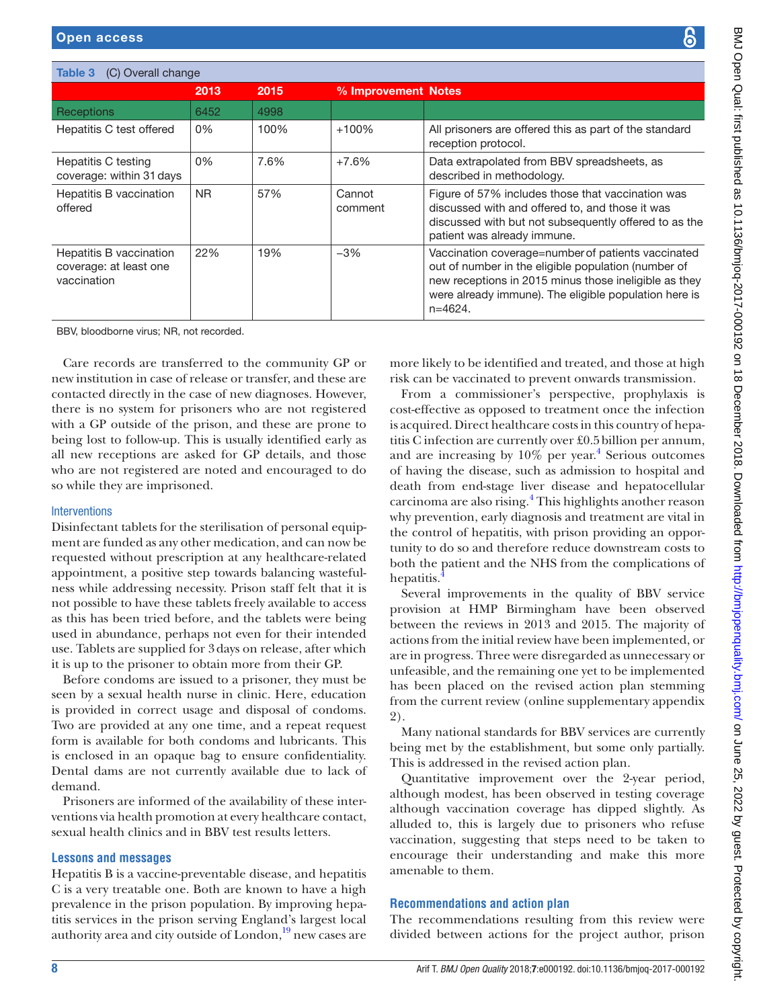| <b>Open access</b>                                                                                                                                                                                                                                                                                      |           |      |                     | $\bullet$                                                                                                                                                                                                                                                                                                 |
|---------------------------------------------------------------------------------------------------------------------------------------------------------------------------------------------------------------------------------------------------------------------------------------------------------|-----------|------|---------------------|-----------------------------------------------------------------------------------------------------------------------------------------------------------------------------------------------------------------------------------------------------------------------------------------------------------|
| (C) Overall change<br>Table 3                                                                                                                                                                                                                                                                           |           |      |                     |                                                                                                                                                                                                                                                                                                           |
|                                                                                                                                                                                                                                                                                                         | 2013      | 2015 | % Improvement Notes |                                                                                                                                                                                                                                                                                                           |
| Receptions                                                                                                                                                                                                                                                                                              | 6452      | 4998 |                     |                                                                                                                                                                                                                                                                                                           |
| Hepatitis C test offered                                                                                                                                                                                                                                                                                | 0%        | 100% | $+100%$             | All prisoners are offered this as part of the standard<br>reception protocol.                                                                                                                                                                                                                             |
| Hepatitis C testing<br>coverage: within 31 days                                                                                                                                                                                                                                                         | 0%        | 7.6% | $+7.6%$             | Data extrapolated from BBV spreadsheets, as<br>described in methodology.                                                                                                                                                                                                                                  |
| Hepatitis B vaccination<br>offered                                                                                                                                                                                                                                                                      | <b>NR</b> | 57%  | Cannot<br>comment   | Figure of 57% includes those that vaccination was<br>discussed with and offered to, and those it was<br>discussed with but not subsequently offered to as the<br>patient was already immune.                                                                                                              |
| Hepatitis B vaccination<br>coverage: at least one<br>vaccination                                                                                                                                                                                                                                        | 22%       | 19%  | $-3%$               | Vaccination coverage=number of patients vaccinated<br>out of number in the eligible population (number of<br>new receptions in 2015 minus those ineligible as they<br>were already immune). The eligible population here is<br>$n = 4624.$                                                                |
| BBV, bloodborne virus; NR, not recorded.                                                                                                                                                                                                                                                                |           |      |                     |                                                                                                                                                                                                                                                                                                           |
| Care records are transferred to the community GP or<br>new institution in case of release or transfer, and these are<br>contacted directly in the case of new diagnoses. However,<br>there is no system for prisoners who are not registered<br>with a GP outside of the prison, and these are prone to |           |      |                     | more likely to be identified and treated, and those at high<br>risk can be vaccinated to prevent onwards transmission.<br>From a commissioner's perspective, prophylaxis is<br>cost-effective as opposed to treatment once the infection<br>is acquired. Direct healthcare costs in this country of hepa- |

contacted directly in the case of there is no system for prisone with a GP outside of the prison, and these are prone to being lost to follow-up. This is usually identified early as all new receptions are asked for GP details, and those who are not registered are noted and encouraged to do so while they are imprisoned.

### Interventions

Disinfectant tablets for the sterilisation of personal equipment are funded as any other medication, and can now be requested without prescription at any healthcare-related appointment, a positive step towards balancing wastefulness while addressing necessity. Prison staff felt that it is not possible to have these tablets freely available to access as this has been tried before, and the tablets were being used in abundance, perhaps not even for their intended use. Tablets are supplied for 3days on release, after which it is up to the prisoner to obtain more from their GP.

Before condoms are issued to a prisoner, they must be seen by a sexual health nurse in clinic. Here, education is provided in correct usage and disposal of condoms. Two are provided at any one time, and a repeat request form is available for both condoms and lubricants. This is enclosed in an opaque bag to ensure confidentiality. Dental dams are not currently available due to lack of demand.

Prisoners are informed of the availability of these interventions via health promotion at every healthcare contact, sexual health clinics and in BBV test results letters.

### **Lessons and messages**

Hepatitis B is a vaccine-preventable disease, and hepatitis C is a very treatable one. Both are known to have a high prevalence in the prison population. By improving hepatitis services in the prison serving England's largest local authority area and city outside of London,<sup>[19](#page-8-16)</sup> new cases are the control of hepatitis, with prison providing an opportunity to do so and therefore reduce downstream costs to both the patient and the NHS from the complications of hepatitis. Several improvements in the quality of BBV service provision at HMP Birmingham have been observed between the reviews in 2013 and 2015. The majority of actions from the initial review have been implemented, or are in progress. Three were disregarded as unnecessary or unfeasible, and the remaining one yet to be implemented has been placed on the revised action plan stemming from the current review (online [supplementary appendix](https://dx.doi.org/10.1136/bmjoq-2017-000192) 

titis C infection are currently over £0.5billion per annum, and are increasing by  $10\%$  per year.<sup>4</sup> Serious outcomes of having the disease, such as admission to hospital and death from end-stage liver disease and hepatocellular carcinoma are also rising.<sup>[4](#page-8-3)</sup> This highlights another reason why prevention, early diagnosis and treatment are vital in

Many national standards for BBV services are currently being met by the establishment, but some only partially. This is addressed in the revised action plan.

Quantitative improvement over the 2-year period, although modest, has been observed in testing coverage although vaccination coverage has dipped slightly. As alluded to, this is largely due to prisoners who refuse vaccination, suggesting that steps need to be taken to encourage their understanding and make this more amenable to them.

### **Recommendations and action plan**

[2](https://dx.doi.org/10.1136/bmjoq-2017-000192)).

The recommendations resulting from this review were divided between actions for the project author, prison